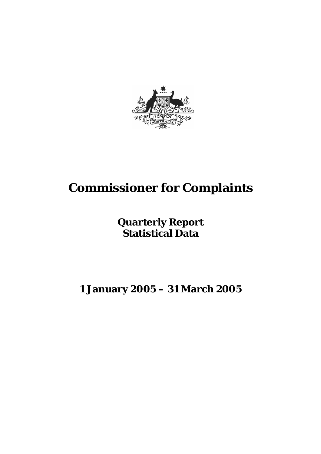

# **Commissioner for Complaints**

## **Quarterly Report Statistical Data**

## **1 January 2005 – 31 March 2005**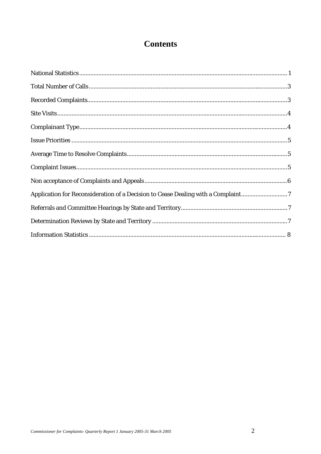## **Contents**

| Application for Reconsideration of a Decision to Cease Dealing with a Complaint7 |  |
|----------------------------------------------------------------------------------|--|
|                                                                                  |  |
|                                                                                  |  |
|                                                                                  |  |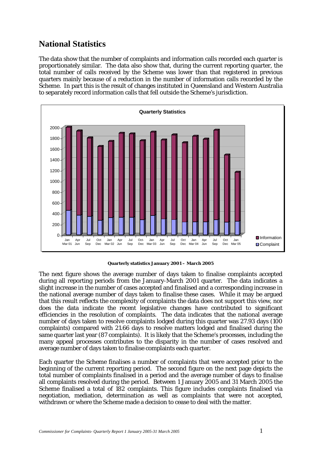## **National Statistics**

The data show that the number of complaints and information calls recorded each quarter is proportionately similar. The data also show that, during the current reporting quarter, the total number of calls received by the Scheme was lower than that registered in previous quarters mainly because of a reduction in the number of information calls recorded by the Scheme. In part this is the result of changes instituted in Queensland and Western Australia to separately record information calls that fell outside the Scheme's jurisdiction.



**Quarterly statistics January 2001 – March 2005** 

The next figure shows the average number of days taken to finalise complaints accepted during all reporting periods from the January-March 2001 quarter. The data indicates a slight increase in the number of cases accepted and finalised and a corresponding increase in the national average number of days taken to finalise these cases. While it may be argued that this result reflects the complexity of complaints the data does not support this view, nor does the data indicate the recent legislative changes have contributed to significant efficiencies in the resolution of complaints. The data indicates that the national average number of days taken to resolve complaints lodged during this quarter was 27.93 days (100 complaints) compared with 21.66 days to resolve matters lodged and finalised during the same quarter last year (87 complaints). It is likely that the Scheme's processes, including the many appeal processes contributes to the disparity in the number of cases resolved and average number of days taken to finalise complaints each quarter.

Each quarter the Scheme finalises a number of complaints that were accepted prior to the beginning of the current reporting period. The second figure on the next page depicts the total number of complaints finalised in a period and the average number of days to finalise all complaints resolved during the period. Between 1 January 2005 and 31 March 2005 the Scheme finalised a total of 182 complaints. This figure includes complaints finalised via negotiation, mediation, determination as well as complaints that were not accepted, withdrawn or where the Scheme made a decision to cease to deal with the matter.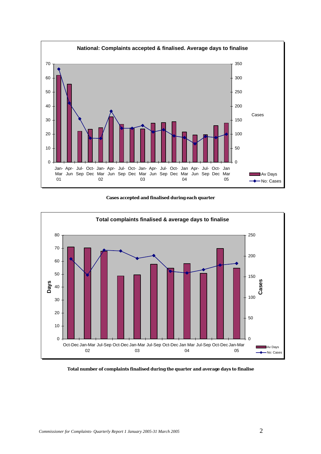

**Cases accepted and finalised during each quarter** 



**Total number of complaints finalised during the quarter and average days to finalise**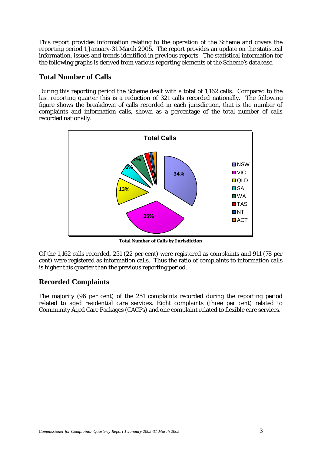This report provides information relating to the operation of the Scheme and covers the reporting period 1 January-31 March 2005. The report provides an update on the statistical information, issues and trends identified in previous reports. The statistical information for the following graphs is derived from various reporting elements of the Scheme's database.

#### **Total Number of Calls**

During this reporting period the Scheme dealt with a total of 1,162 calls. Compared to the last reporting quarter this is a reduction of 321 calls recorded nationally. The following figure shows the breakdown of calls recorded in each jurisdiction, that is the number of complaints and information calls, shown as a percentage of the total number of calls recorded nationally.



**Total Number of Calls by Jurisdiction**

Of the 1,162 calls recorded, 251 (22 per cent) were registered as complaints and 911 (78 per cent) were registered as information calls. Thus the ratio of complaints to information calls is higher this quarter than the previous reporting period.

#### **Recorded Complaints**

The majority (96 per cent) of the 251 complaints recorded during the reporting period related to aged residential care services. Eight complaints (three per cent) related to Community Aged Care Packages (CACPs) and one complaint related to flexible care services.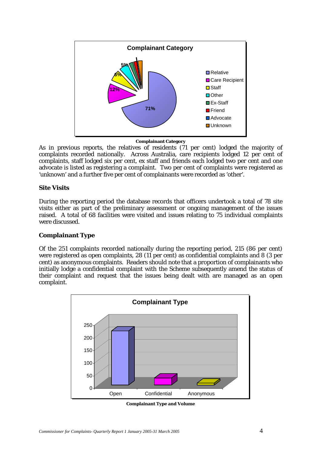

**Complainant Category** 

As in previous reports, the relatives of residents (71 per cent) lodged the majority of complaints recorded nationally. Across Australia, care recipients lodged 12 per cent of complaints, staff lodged six per cent, ex staff and friends each lodged two per cent and one advocate is listed as registering a complaint. Two per cent of complaints were registered as 'unknown' and a further five per cent of complainants were recorded as 'other'.

#### **Site Visits**

During the reporting period the database records that officers undertook a total of 78 site visits either as part of the preliminary assessment or ongoing management of the issues raised.A total of 68 facilities were visited and issues relating to 75 individual complaints were discussed.

#### **Complainant Type**

Of the 251 complaints recorded nationally during the reporting period, 215 (86 per cent) were registered as open complaints, 28 (11 per cent) as confidential complaints and 8 (3 per cent) as anonymous complaints. Readers should note that a proportion of complainants who initially lodge a confidential complaint with the Scheme subsequently amend the status of their complaint and request that the issues being dealt with are managed as an open complaint.



**Complainant Type and Volume**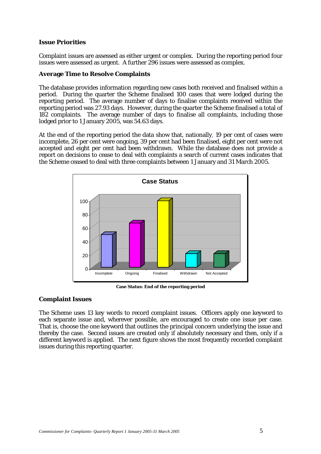#### **Issue Priorities**

Complaint issues are assessed as either urgent or complex. During the reporting period four issues were assessed as urgent. A further 296 issues were assessed as complex.

#### **Average Time to Resolve Complaints**

The database provides information regarding new cases both received and finalised within a period. During the quarter the Scheme finalised 100 cases that were lodged during the reporting period. The average number of days to finalise complaints received within the reporting period was 27.93 days. However, during the quarter the Scheme finalised a total of 182 complaints. The average number of days to finalise all complaints, including those lodged prior to 1 January 2005, was  $54.63$  days.

At the end of the reporting period the data show that, nationally, 19 per cent of cases were incomplete, 26 per cent were ongoing, 39 per cent had been finalised, eight per cent were not accepted and eight per cent had been withdrawn. While the database does not provide a report on decisions to cease to deal with complaints a search of current cases indicates that the Scheme ceased to deal with three complaints between 1 January and 31 March 2005.



**Case Status: End of the reporting period** 

#### **Complaint Issues**

The Scheme uses 13 key words to record complaint issues. Officers apply one keyword to each separate issue and, wherever possible, are encouraged to create one issue per case. That is, choose the one keyword that outlines the principal concern underlying the issue and thereby the case. Second issues are created only if absolutely necessary and then, only if a different keyword is applied. The next figure shows the most frequently recorded complaint issues during this reporting quarter.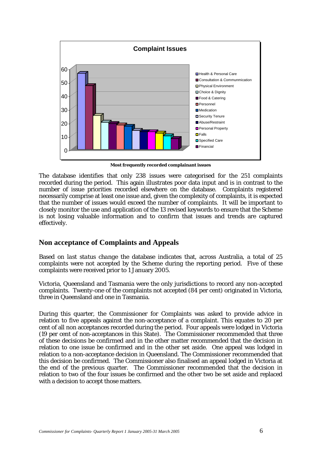

**Most frequently recorded complainant issues** 

The database identifies that only 238 issues were categorised for the 251 complaints recorded during the period. This again illustrates poor data input and is in contrast to the number of issue priorities recorded elsewhere on the database. Complaints registered necessarily comprise at least one issue and, given the complexity of complaints, it is expected that the number of issues would exceed the number of complaints. It will be important to closely monitor the use and application of the 13 revised keywords to ensure that the Scheme is not losing valuable information and to confirm that issues and trends are captured effectively.

#### **Non acceptance of Complaints and Appeals**

Based on *last status change* the database indicates that, across Australia, a total of 25 complaints were not accepted by the Scheme during the reporting period. Five of these complaints were received prior to 1 January 2005.

Victoria, Queensland and Tasmania were the only jurisdictions to record any non-accepted complaints. Twenty-one of the complaints not accepted (84 per cent) originated in Victoria, three in Queensland and one in Tasmania.

During this quarter, the Commissioner for Complaints was asked to provide advice in relation to five appeals against the non-acceptance of a complaint. This equates to 20 per cent of all non acceptances recorded during the period. Four appeals were lodged in Victoria (19 per cent of non-acceptances in this State). The Commissioner recommended that three of these decisions be confirmed and in the other matter recommended that the decision in relation to one issue be confirmed and in the other set aside. One appeal was lodged in relation to a non-acceptance decision in Queensland. The Commissioner recommended that this decision be confirmed. The Commissioner also finalised an appeal lodged in Victoria at the end of the previous quarter. The Commissioner recommended that the decision in relation to two of the four issues be confirmed and the other two be set aside and replaced with a decision to accept those matters.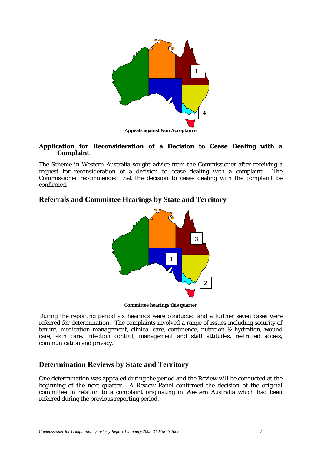

#### **Application for Reconsideration of a Decision to Cease Dealing with a Complaint**

The Scheme in Western Australia sought advice from the Commissioner after receiving a request for reconsideration of a decision to cease dealing with a complaint. The Commissioner recommended that the decision to cease dealing with the complaint be confirmed.

#### **Referrals and Committee Hearings by State and Territory**



**Committee hearings this quarter** 

During the reporting period six hearings were conducted and a further seven cases were referred for determination. The complaints involved a range of issues including security of tenure, medication management, clinical care, continence, nutrition & hydration, wound care, skin care, infection control, management and staff attitudes, restricted access, communication and privacy.

#### **Determination Reviews by State and Territory**

One determination was appealed during the period and the Review will be conducted at the beginning of the next quarter. A Review Panel confirmed the decision of the original committee in relation to a complaint originating in Western Australia which had been referred during the previous reporting period.